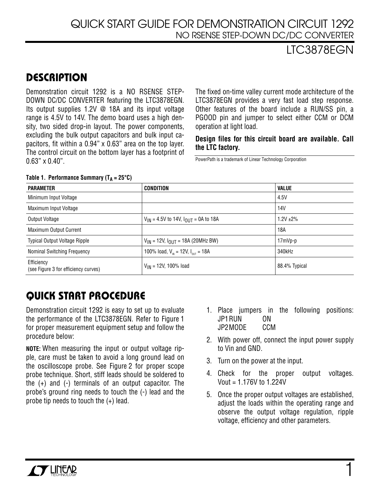### LTC3878EGN

## **DESCRIPTION**

Demonstration circuit 1292 is a NO RSENSE STEP-DOWN DC/DC CONVERTER featuring the LTC3878EGN. Its output supplies 1.2V @ 18A and its input voltage range is 4.5V to 14V. The demo board uses a high density, two sided drop-in layout. The power components, excluding the bulk output capacitors and bulk input capacitors, fit within a 0.94" x 0.63" area on the top layer. The control circuit on the bottom layer has a footprint of  $0.63$ " x  $0.40$ ".

The fixed on-time valley current mode architecture of the LTC3878EGN provides a very fast load step response. Other features of the board include a RUN/SS pin, a PGOOD pin and jumper to select either CCM or DCM operation at light load.

#### **Design files for this circuit board are available. Call the LTC factory.**

PowerPath is a trademark of Linear Technology Corporation

| <b>PARAMETER</b>                                   | CONDITION                                                 | <b>VALUE</b>   |
|----------------------------------------------------|-----------------------------------------------------------|----------------|
| Minimum Input Voltage                              |                                                           | 4.5V           |
| Maximum Input Voltage                              |                                                           | 14V            |
| Output Voltage                                     | $V_{IN}$ = 4.5V to 14V, $I_{OUIT}$ = 0A to 18A            | $1.2V \pm 2\%$ |
| Maximum Output Current                             |                                                           | 18A            |
| <b>Typical Output Voltage Ripple</b>               | $V_{IN}$ = 12V, $I_{OUT}$ = 18A (20MHz BW)                | 17mVp-p        |
| Nominal Switching Frequency                        | 100% load, $V_{\text{in}} = 12V$ , $I_{\text{out}} = 18A$ | 340kHz         |
| Efficiency<br>(see Figure 3 for efficiency curves) | $V_{IN}$ = 12V, 100% load                                 | 88.4% Typical  |

#### **Table 1.** Performance Summary  $(T_A - 25^\circ C)$

# **QUICK START PROCEDURE**

Demonstration circuit 1292 is easy to set up to evaluate the performance of the LTC3878EGN. Refer to Figure 1 for proper measurement equipment setup and follow the procedure below:

**NOTE:** When measuring the input or output voltage ripple, care must be taken to avoid a long ground lead on the oscilloscope probe. See Figure 2 for proper scope probe technique. Short, stiff leads should be soldered to the (+) and (-) terminals of an output capacitor. The probe's ground ring needs to touch the (-) lead and the probe tip needs to touch the (+) lead.

- 1. Place jumpers in the following positions: JP1RUN ON JP2MODE CCM
- 2. With power off, connect the input power supply to Vin and GND.
- 3. Turn on the power at the input.
- 4. Check for the proper output voltages. Vout = 1.176V to 1.224V
- 5. Once the proper output voltages are established, adjust the loads within the operating range and observe the output voltage regulation, ripple voltage, efficiency and other parameters.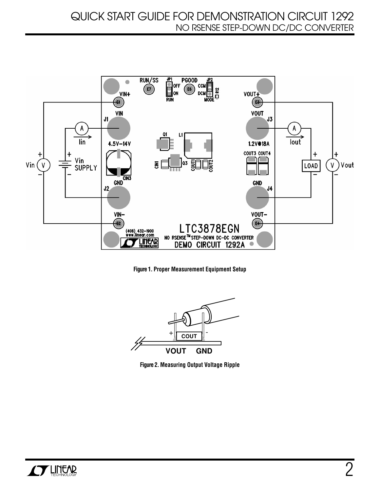

**Figure 1. Proper Measurement Equipment Setup**



**Figure 2. Measuring Output Voltage Ripple**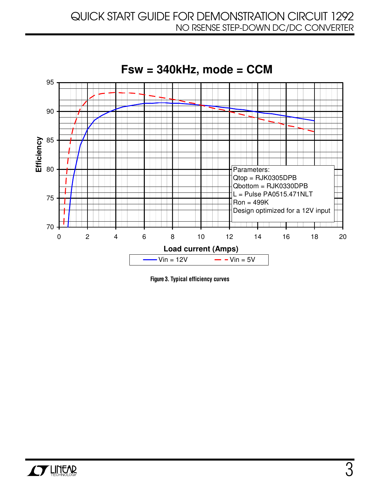

**Figure 3. Typical efficiency curves**